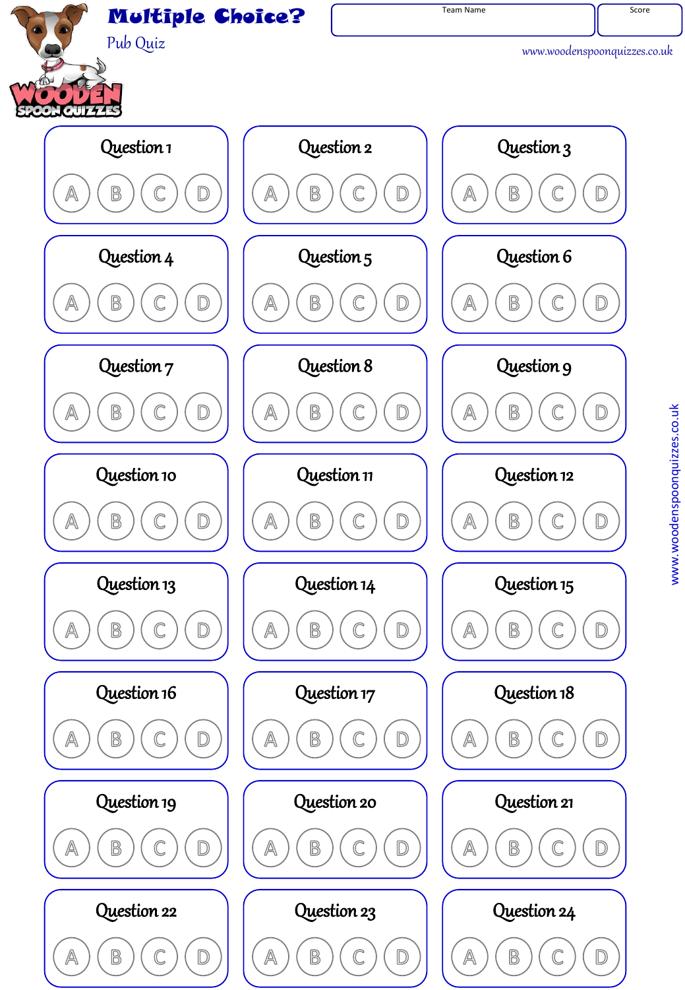

www.woodenspoonquizzes.co.uk www.woodenspoonquizzes.co.uk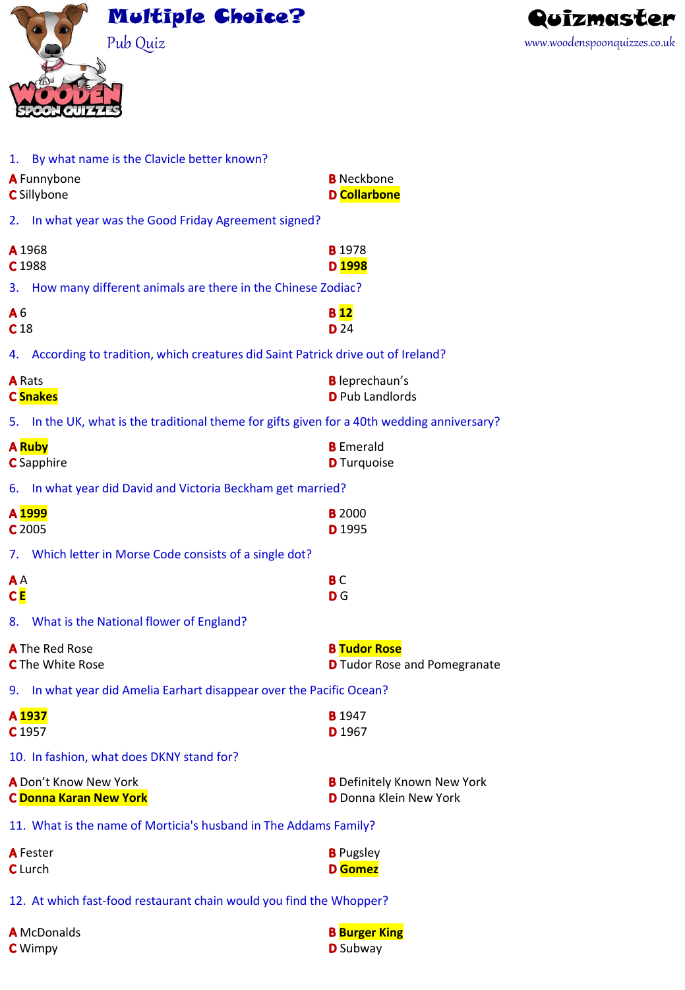



| 1. By what name is the Clavicle better known?                                                  |                                                                     |  |  |  |  |  |
|------------------------------------------------------------------------------------------------|---------------------------------------------------------------------|--|--|--|--|--|
| A Funnybone                                                                                    | <b>B</b> Neckbone                                                   |  |  |  |  |  |
| <b>D</b> Collarbone<br><b>C</b> Sillybone                                                      |                                                                     |  |  |  |  |  |
| In what year was the Good Friday Agreement signed?<br>2.                                       |                                                                     |  |  |  |  |  |
| A 1968                                                                                         | <b>B</b> 1978                                                       |  |  |  |  |  |
| C <sub>1988</sub>                                                                              | D <sub>1998</sub>                                                   |  |  |  |  |  |
| 3. How many different animals are there in the Chinese Zodiac?                                 |                                                                     |  |  |  |  |  |
| A <sub>6</sub><br>C <sub>18</sub>                                                              | <b>B</b> <sub>12</sub><br><b>D</b> 24                               |  |  |  |  |  |
| According to tradition, which creatures did Saint Patrick drive out of Ireland?<br>4.          |                                                                     |  |  |  |  |  |
| <b>A</b> Rats<br><b>C</b> Snakes                                                               | <b>B</b> leprechaun's<br><b>D</b> Pub Landlords                     |  |  |  |  |  |
| In the UK, what is the traditional theme for gifts given for a 40th wedding anniversary?<br>5. |                                                                     |  |  |  |  |  |
| <b>A</b> Ruby<br><b>C</b> Sapphire                                                             | <b>B</b> Emerald<br><b>D</b> Turquoise                              |  |  |  |  |  |
| 6.                                                                                             | In what year did David and Victoria Beckham get married?            |  |  |  |  |  |
| A 1999<br>C 2005                                                                               | <b>B</b> 2000<br>D 1995                                             |  |  |  |  |  |
| 7. Which letter in Morse Code consists of a single dot?                                        |                                                                     |  |  |  |  |  |
| A <sub>A</sub><br>C E                                                                          | <b>BC</b><br><b>D</b> G                                             |  |  |  |  |  |
| 8. What is the National flower of England?                                                     |                                                                     |  |  |  |  |  |
| <b>A</b> The Red Rose<br><b>C</b> The White Rose                                               | <b>B Tudor Rose</b><br><b>D</b> Tudor Rose and Pomegranate          |  |  |  |  |  |
| 9. In what year did Amelia Earhart disappear over the Pacific Ocean?                           |                                                                     |  |  |  |  |  |
| A 1937<br>C <sub>1957</sub>                                                                    | <b>B</b> 1947<br>D <sub>1967</sub>                                  |  |  |  |  |  |
| 10. In fashion, what does DKNY stand for?                                                      |                                                                     |  |  |  |  |  |
| A Don't Know New York<br><b>C Donna Karan New York</b>                                         | <b>B</b> Definitely Known New York<br><b>D</b> Donna Klein New York |  |  |  |  |  |
| 11. What is the name of Morticia's husband in The Addams Family?                               |                                                                     |  |  |  |  |  |
| <b>A</b> Fester<br>C Lurch                                                                     | <b>B</b> Pugsley<br><b>D</b> Gomez                                  |  |  |  |  |  |
| 12. At which fast-food restaurant chain would you find the Whopper?                            |                                                                     |  |  |  |  |  |
| <b>A</b> McDonalds                                                                             | <b>B</b> Burger King                                                |  |  |  |  |  |

**C** Wimpy **D** Subway